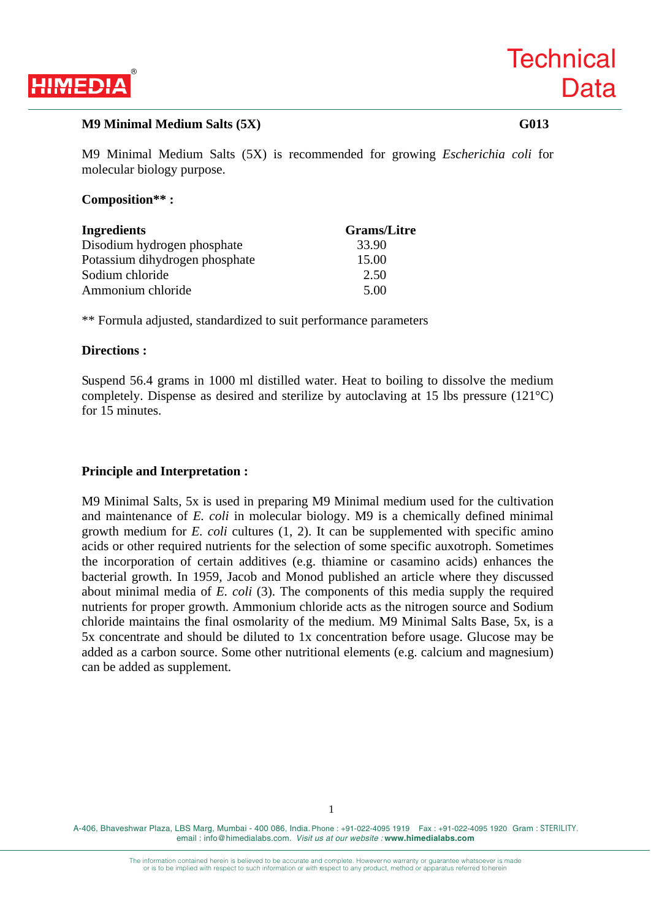

### **M9 Minimal Medium Salts (5X)** G013

M9 Minimal Medium Salts (5X) is recommended for growing *Escherichia coli* for molecular biology purpose.

# **Composition\*\* :**

| <b>Ingredients</b>             | <b>Grams/Litre</b> |
|--------------------------------|--------------------|
| Disodium hydrogen phosphate    | 33.90              |
| Potassium dihydrogen phosphate | 15.00              |
| Sodium chloride                | 2.50               |
| Ammonium chloride              | 5.00               |

\*\* Formula adjusted, standardized to suit performance parameters

### **Directions :**

Suspend 56.4 grams in 1000 ml distilled water. Heat to boiling to dissolve the medium completely. Dispense as desired and sterilize by autoclaving at 15 lbs pressure (121°C) for 15 minutes.

# **Principle and Interpretation :**

M9 Minimal Salts, 5x is used in preparing M9 Minimal medium used for the cultivation and maintenance of *E. coli* in molecular biology. M9 is a chemically defined minimal growth medium for *E. coli* cultures (1, 2). It can be supplemented with specific amino acids or other required nutrients for the selection of some specific auxotroph. Sometimes the incorporation of certain additives (e.g. thiamine or casamino acids) enhances the bacterial growth. In 1959, Jacob and Monod published an article where they discussed about minimal media of *E. coli* (3). The components of this media supply the required nutrients for proper growth. Ammonium chloride acts as the nitrogen source and Sodium chloride maintains the final osmolarity of the medium. M9 Minimal Salts Base, 5x, is a 5x concentrate and should be diluted to 1x concentration before usage. Glucose may be added as a carbon source. Some other nutritional elements (e.g. calcium and magnesium) can be added as supplement.

A-406, Bhaveshwar Plaza, LBS Marg, Mumbai - 400 086, India. Phone : +91-022-4095 1919 Fax : +91-022-4095 1920 Gram : STERILITY. email : info@himedialabs.com. *Visit us at our website :* **www.himedialabs.com**